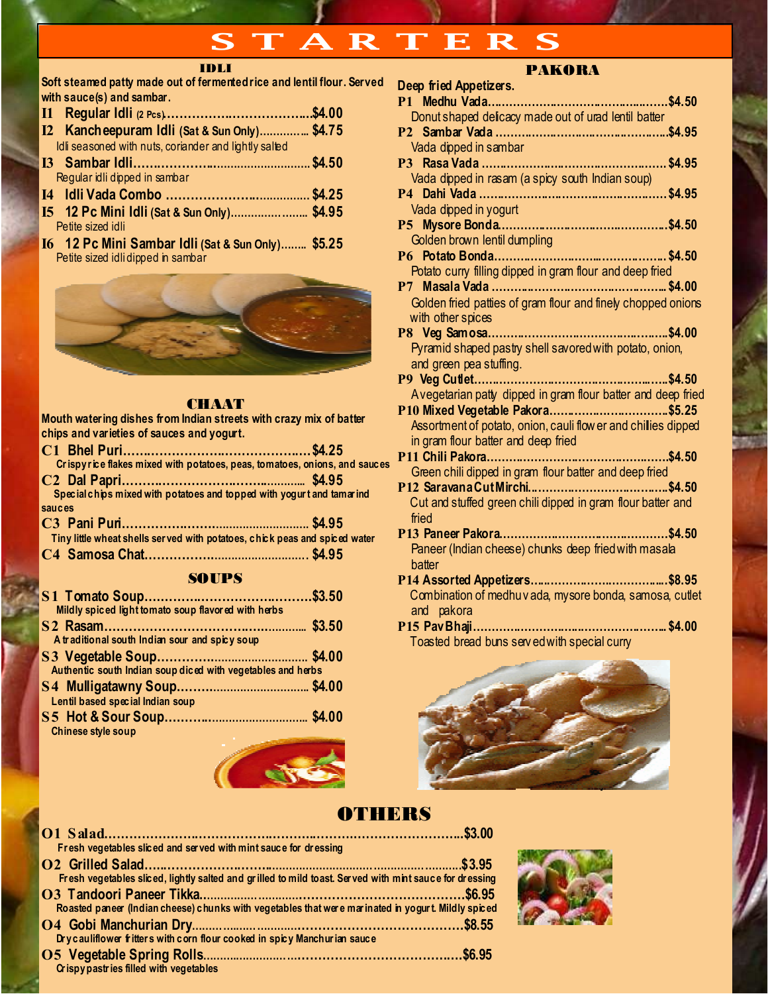# TARTERS

#### IDLI

Soft steamed patty made out of fermented rice and lentil flour. Served with sauce(s) and sambar.

| I2 Kancheepuram Idli (Sat & Sun Only) \$4.75          |  |
|-------------------------------------------------------|--|
| Idli seasoned with nuts, coriander and lightly salted |  |
|                                                       |  |
| Regular idli dipped in sambar                         |  |
|                                                       |  |
| 15 12 Pc Mini Idli (Sat & Sun Only) \$4.95            |  |
| Petite sized idli                                     |  |

I6 12 Pc Mini Sambar Idli (Sat & Sun Only)…….. \$5.25 Petite sized idli dipped in sambar



#### **CHAAT**

Mouth watering dishes from Indian streets with crazy mix of batter chips and varieties of sauces and yogurt.

|        | Crispyrice flakes mixed with potatoes, peas, tomatoes, onions, and sauces  |  |
|--------|----------------------------------------------------------------------------|--|
|        |                                                                            |  |
|        | Special chips mixed with potatoes and topped with yogurt and tamarind      |  |
| sauces |                                                                            |  |
|        |                                                                            |  |
|        | Tiny little wheat shells served with potatoes, chick peas and spiced water |  |
|        |                                                                            |  |

C4 Samosa Chat……………..………………………. \$4.95

### **SOUPS**

| Mildly spiced light tomato soup flavored with herbs                                                                                          |  |
|----------------------------------------------------------------------------------------------------------------------------------------------|--|
| A traditional south Indian sour and spicy soup                                                                                               |  |
| Authentic south Indian soup diced with vegetables and herbs                                                                                  |  |
| Lentil based special Indian soup                                                                                                             |  |
| <b>Chinese style soup</b><br>the contract of the contract of the contract of the contract of the contract of the contract of the contract of |  |



|  |  | <b>PAKORA</b> |  |
|--|--|---------------|--|
|  |  |               |  |

| Deep fried Appetizers.                                         |  |
|----------------------------------------------------------------|--|
|                                                                |  |
| Donut shaped delicacy made out of urad lentil batter           |  |
|                                                                |  |
| Vada dipped in sambar                                          |  |
|                                                                |  |
| Vada dipped in rasam (a spicy south Indian soup)               |  |
|                                                                |  |
|                                                                |  |
|                                                                |  |
| Golden brown lentil dumpling                                   |  |
|                                                                |  |
| Potato curry filling dipped in gram flour and deep fried       |  |
|                                                                |  |
| Golden fried patties of gram flour and finely chopped onions   |  |
| with other spices                                              |  |
|                                                                |  |
| Pyramid shaped pastry shell savored with potato, onion,        |  |
| and green pea stuffing.                                        |  |
|                                                                |  |
| Avegetarian patty dipped in gram flour batter and deep fried   |  |
| P10 Mixed Vegetable Pakora\$5.25                               |  |
| Assortment of potato, onion, cauli flow er and chillies dipped |  |
| in gram flour batter and deep fried                            |  |
|                                                                |  |
| Green chili dipped in gram flour batter and deep fried         |  |
| Cut and stuffed green chili dipped in gram flour batter and    |  |
|                                                                |  |
| fried                                                          |  |
| Paneer (Indian cheese) chunks deep fried with masala           |  |
|                                                                |  |
| batter                                                         |  |
| Combination of medhuvada, mysore bonda, samosa, cutlet         |  |
| and pakora                                                     |  |
|                                                                |  |
| Toasted bread buns served with special curry                   |  |
|                                                                |  |



## **OTHERS**

| Fresh vegetables sliced and served with mint sauce for dressing                                         |  |
|---------------------------------------------------------------------------------------------------------|--|
|                                                                                                         |  |
| Fresh vegetables sliced, lightly salted and grilled to mild to ast. Served with mint sauce for dressing |  |
|                                                                                                         |  |
| Roasted paneer (Indian cheese) chunks with vegetables that were marinated in yogurt. Mildly spiced      |  |
|                                                                                                         |  |
| Drycauliflower fritters with corn flour cooked in spicy Manchurian sauce                                |  |
|                                                                                                         |  |
| Crispy pastries filled with vegetables                                                                  |  |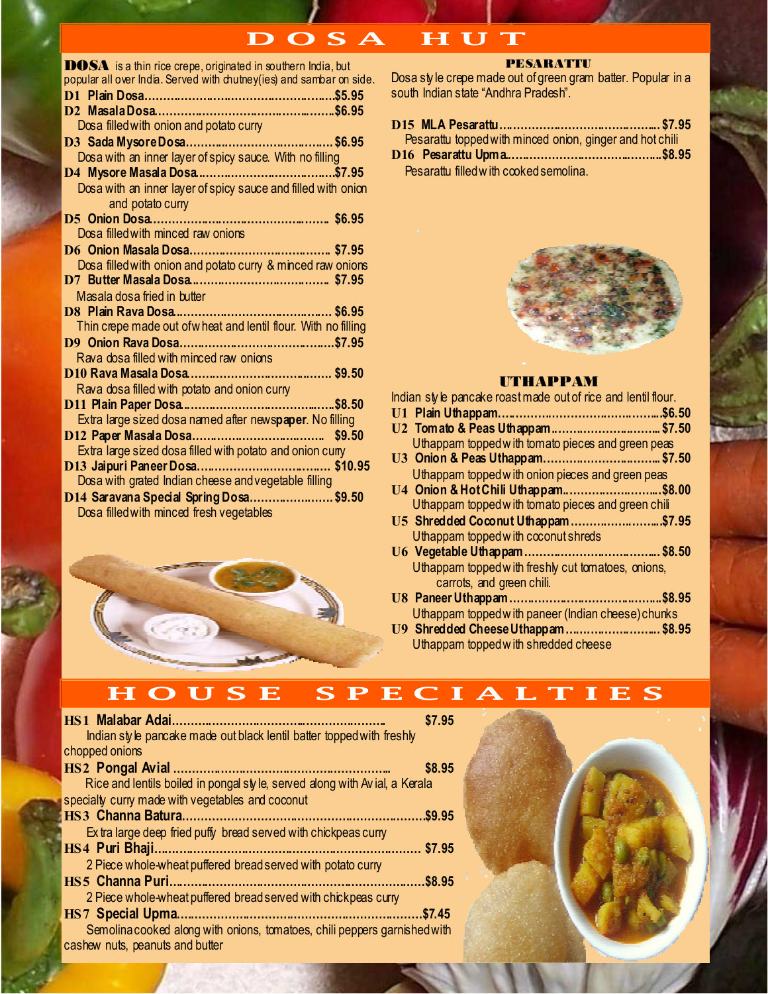# D O S A H U T

| <b>DOSA</b> is a thin rice crepe, originated in southern India, but   |        |
|-----------------------------------------------------------------------|--------|
| popular all over India. Served with chutney (ies) and sambar on side. |        |
|                                                                       |        |
|                                                                       |        |
| Dosa filled with onion and potato curry                               |        |
|                                                                       |        |
| Dosa with an inner layer of spicy sauce. With no filling              |        |
|                                                                       |        |
| Dosa with an inner layer of spicy sauce and filled with onion         |        |
| and potato curry                                                      |        |
|                                                                       |        |
| Dosa filled with minced raw onions                                    |        |
|                                                                       |        |
| Dosa filled with onion and potato curry & minced raw onions           |        |
|                                                                       |        |
| Masala dosa fried in butter                                           |        |
|                                                                       |        |
| Thin crepe made out ofw heat and lentil flour. With no filling        |        |
|                                                                       |        |
| Rava dosa filled with minced raw onions                               |        |
|                                                                       |        |
| Rava dosa filled with potato and onion curry                          |        |
|                                                                       |        |
| Extra large sized dosa named after newspaper. No filling              |        |
|                                                                       | \$9.50 |
| Extra large sized dosa filled with potato and onion cury              |        |
|                                                                       |        |
| Dosa with grated Indian cheese and vegetable filling                  |        |
| D14 Saravana Special Spring Dosa\$9.50                                |        |
|                                                                       |        |
| Dosa filled with minced fresh vegetables                              |        |



#### PESARATTU

Dosa sty le crepe made out of green gram batter. Popular in a south Indian state "Andhra Pradesh".

| Pesarattu topped with minced onion, ginger and hot chili |  |
|----------------------------------------------------------|--|
|                                                          |  |
| Pesarattu filled with cooked semolina.                   |  |



#### UTHAPPAM

Indian sty le pancake roast made out of rice and lentil flour.

| U2 Tom ato & Peas Uthappam\$7.50                   |  |
|----------------------------------------------------|--|
| Uthappam topped with tomato pieces and green peas  |  |
|                                                    |  |
| Uthappam topped with onion pieces and green peas   |  |
| U4 Onion & Hot Chili Uthappam\$8.00                |  |
| Uthappam topped with tomato pieces and green chili |  |
| U5 Shredded Coconut Uthappam\$7.95                 |  |
| Uthappam topped with coconut shreds                |  |
|                                                    |  |
| Uthappam topped with freshly cut tomatoes, onions, |  |
| carrots, and green chili.                          |  |
|                                                    |  |
| Uthappam topped with paneer (Indian cheese) chunks |  |
| U9 Shredded Cheese Uthappam\$8.95                  |  |

Uthappam topped w ith shredded cheese

## H O U S E S P E C I A L T I E S

| <b>HS1 Malabar Adai</b>                                                    | \$7.95 |
|----------------------------------------------------------------------------|--------|
| Indian style pancake made out black lentil batter topped with freshly      |        |
| chopped onions                                                             |        |
| <b>HS2 Pongal Avial</b>                                                    | \$8.95 |
| Rice and lentils boiled in pongal style, served along with Avial, a Kerala |        |
| specially curry made with vegetables and coconut                           |        |
| <b>HS3</b> Channa Batura.                                                  | \$9.95 |
| Extra large deep fried puffy bread served with chickpeas curry             |        |
| HS4 Puri Bhaji.                                                            | \$7.95 |
| 2 Piece whole-wheat puffered bread served with potato curry                |        |
| <b>HS5 Channa Puri.</b>                                                    | \$8.95 |
| 2 Piece whole-wheat puffered bread served with chickpeas curry             |        |
| <b>HS7</b> Special Upma                                                    | \$7.45 |
| Semolina cooked along with onions, tomatoes, chili peppers garnished with  |        |
| cashew nuts, peanuts and butter                                            |        |

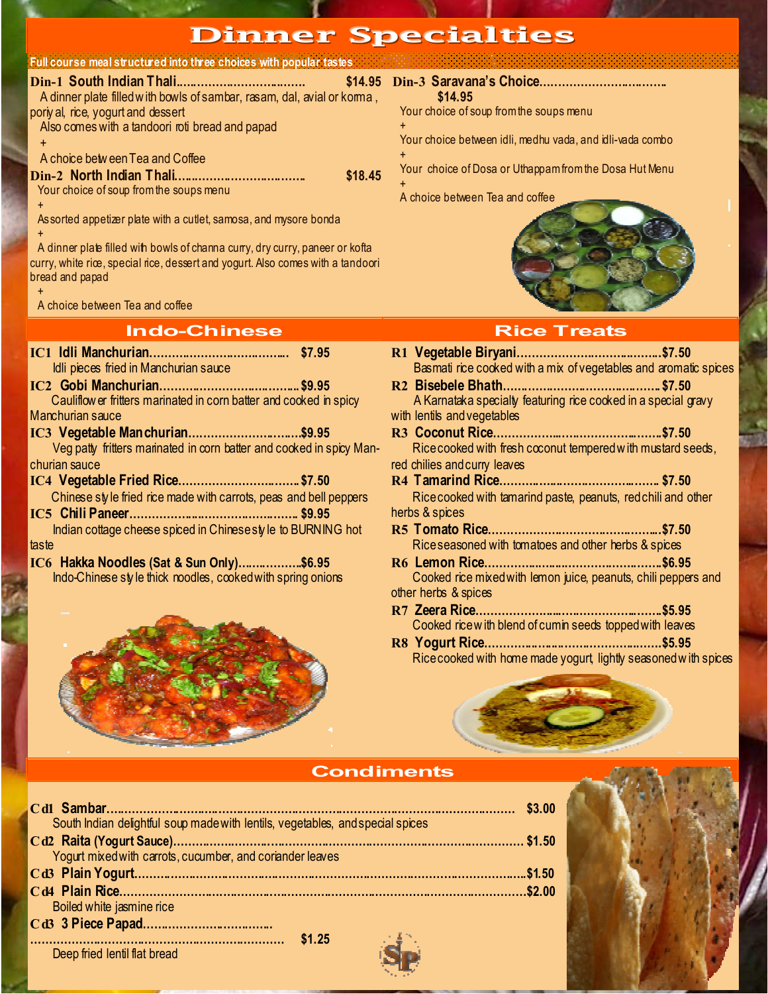## Dinner Specialties

#### Full course meal structured into three choices with popular tastes

| \$14.95 Di<br>A dinner plate filled with bowls of sambar, rasam, dal, avial or koma, |     |
|--------------------------------------------------------------------------------------|-----|
| poriy al, rice, yogurt and dessert                                                   | Y٢  |
| Also comes with a tandoori roti bread and papad                                      | $+$ |
| $\ddot{}$                                                                            | Y   |
| A choice between Tea and Coffee                                                      | $+$ |
| \$18.45                                                                              | Y   |
| Your choice of soup from the soups menu                                              | A   |
|                                                                                      |     |

 Assorted appetizer plate with a cutlet, samosa, and mysore bonda +

A dinner plate filled with bowls of channa curry, dry curry, paneer or kofta curry, white rice, special rice, dessert and yogurt. Also comes with a tandoori bread and papad

 + A choice between Tea and coffee

#### **Indo-Chinese Rice Treats**

IC1 Idli Manchurian.………………………..……... \$7.95 Idli pieces fried in Manchurian sauce

IC2 Gobi Manchurian.………………………..……... \$9.95 Cauliflow er fritters marinated in corn batter and cooked in spicy Manchurian sauce

- IC3 Vegetable Manchurian….………………..…….\$9.95 Veg patty fritters marinated in corn batter and cooked in spicy Manchurian sauce
- IC4 Vegetable Fried Rice……………………..……. \$7.50 Chinese sty le fried rice made with carrots, peas and bell peppers

IC5 Chili Paneer………….…....………………..……. \$9.95 Indian cottage cheese spiced in Chinese sty le to BURNING hot taste

IC6 Hakka Noodles (Sat & Sun Only)……..……….\$6.95 Indo-Chinese sty le thick noodles, cooked with spring onions



Din-3 Saravana's Choice…..…………………..……. \$14.95 Your choice of soup from the soups menu

Your choice between idli, medhu vada, and idli-vada combo

Your choice of Dosa or Uthappam from the Dosa Hut Menu

A choice between Tea and coffee



| Basmati rice cooked with a mix of vegetables and aromatic spices |
|------------------------------------------------------------------|
|                                                                  |
| A Karnataka specialty featuring rice cooked in a special gravy   |
| with lentils and vegetables                                      |
|                                                                  |
| Rice cooked with fresh coconut tempered with mustard seeds,      |
| red chilies and curry leaves                                     |
|                                                                  |
| Rice cooked with tamarind paste, peanuts, red chili and other    |
| herbs & spices                                                   |
|                                                                  |
| Riceseasoned with tomatoes and other herbs & spices              |
|                                                                  |
| Cooked rice mixed with lemon juice, peanuts, chili peppers and   |
| other herbs & spices                                             |
|                                                                  |
| Cooked rice with blend of cumin seeds topped with leaves         |
|                                                                  |
| Rice cooked with home made yogurt lightly seasoned with spices   |
|                                                                  |

#### **Condiments**

|                                                                                                                 | \$3.00 |
|-----------------------------------------------------------------------------------------------------------------|--------|
| South Indian delightful soup made with lentils, vegetables, and special spices                                  |        |
|                                                                                                                 |        |
| Yogurt mixed with carrots, cucumber, and coriander leaves                                                       |        |
|                                                                                                                 |        |
|                                                                                                                 |        |
| Boiled white jasmine rice                                                                                       |        |
|                                                                                                                 |        |
| a shekara                                                                                                       |        |
| the contract of the contract of the contract of the contract of the contract of the contract of the contract of |        |



Deep fried lentil flat bread

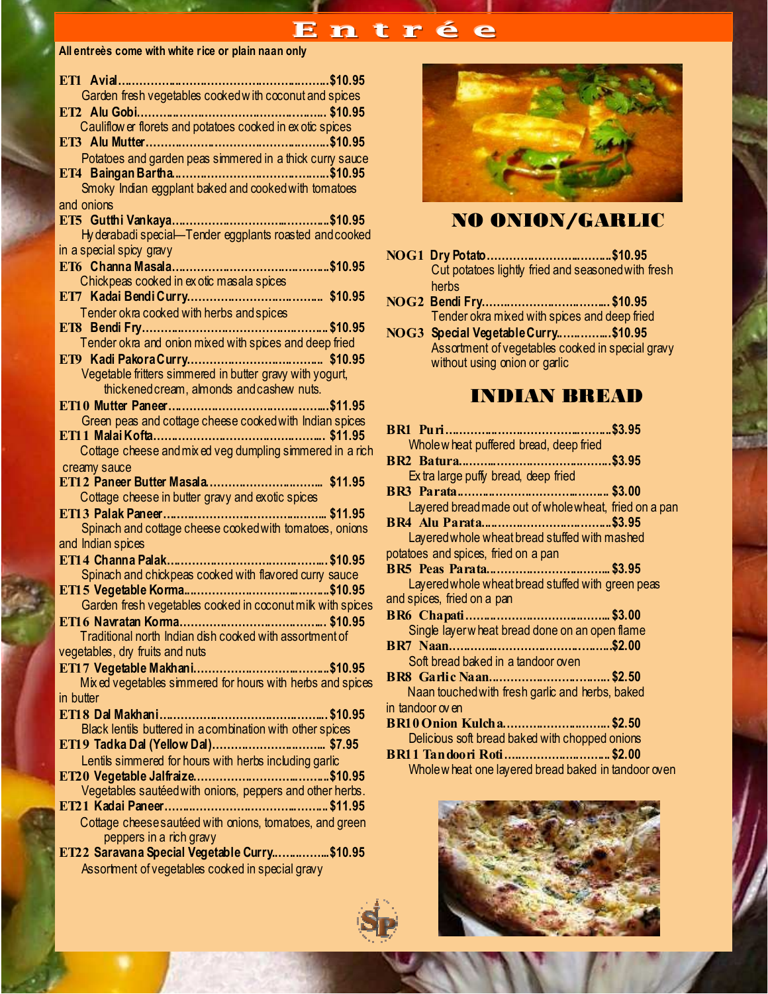## Entrée

#### All entreès come with white rice or plain naan only

| ET1 Avia<br>\$10.95                                                                               |
|---------------------------------------------------------------------------------------------------|
| Garden fresh vegetables cooked with coconut and spices                                            |
|                                                                                                   |
| Cauliflow er florets and potatoes cooked in ex otic spices                                        |
|                                                                                                   |
| Potatoes and garden peas simmered in a thick curry sauce                                          |
|                                                                                                   |
| Smoky Indian eggplant baked and cooked with tomatoes                                              |
| and onions                                                                                        |
|                                                                                                   |
| Hy derabadi special-Tender eggplants roasted and cooked                                           |
| in a special spicy gravy                                                                          |
| Chickpeas cooked in ex otic masala spices                                                         |
|                                                                                                   |
| Tender okra cooked with herbs and spices                                                          |
|                                                                                                   |
| Tender okra and onion mixed with spices and deep fried                                            |
|                                                                                                   |
| Vegetable fritters simmered in butter gravy with yogurt,                                          |
| thickened cream, almonds and cashew nuts.                                                         |
|                                                                                                   |
| Green peas and cottage cheese cooked with Indian spices                                           |
|                                                                                                   |
| Cottage cheese and mix ed veg dumpling simmered in a rich                                         |
| creamy sauce                                                                                      |
|                                                                                                   |
|                                                                                                   |
| Cottage cheese in butter gravy and exotic spices                                                  |
|                                                                                                   |
| Spinach and cottage cheese cooked with tomatoes, onions                                           |
| and Indian spices                                                                                 |
| ани інціан зр <del>.с.s</del><br>ЕТ14 <b>Channa Palak………………………………………………………</b> \$10.95            |
| Spinach and chickpeas cooked with flavored curry sauce                                            |
|                                                                                                   |
| Garden fresh vegetables cooked in coconut milk with spices                                        |
|                                                                                                   |
| Traditional north Indian dish cocked with assortment of                                           |
| vegetables, dry fruits and nuts                                                                   |
|                                                                                                   |
| Mix ed vegetables simmered for hours with herbs and spices<br>in butter                           |
|                                                                                                   |
| Black lentils buttered in a combination with other spices                                         |
|                                                                                                   |
| Lentils simmered for hours with herbs including garlic                                            |
|                                                                                                   |
| Vegetables sautéed with onions, peppers and other herbs.                                          |
|                                                                                                   |
| Cottage cheese sautéed with onions, tomatoes, and green                                           |
| peppers in a rich gravy                                                                           |
| ET22 Saravana Special Vegetable Curry \$10.95<br>Assortment of vegetables cooked in special gravy |



## NO ONION/GARLIC

- NOG1 Dry Potato……………………..……... \$10.95 Cut potatoes lightly fried and seasoned with fresh herbs
- NOG2 Bendi Fry…….………………..……... \$10.95 Tender okra mixed with spices and deep fried
- NOG3 Special Vegetable Curry..…..……... \$10.95 Assortment of vegetables cooked in special gravy without using onion or garlic

## INDIAN BREAD

| Whole w heat puffered bread, deep fried               |  |
|-------------------------------------------------------|--|
|                                                       |  |
| Extra large puffy bread, deep fried                   |  |
|                                                       |  |
| Layered bread made out of whole wheat, fried on a pan |  |
|                                                       |  |
| Layered whole wheat bread stuffed with mashed         |  |
| potatoes and spices, fried on a pan                   |  |
|                                                       |  |
| Layered whole wheat bread stuffed with green peas     |  |
| and spices, fried on a pan                            |  |
|                                                       |  |
| Single layerw heat bread done on an open flame        |  |
|                                                       |  |
| Soft bread baked in a tandoor oven                    |  |
| BR8 Garlic Naan\$2.50                                 |  |
| Naan touched with fresh garlic and herbs, baked       |  |
| in tandoor ov en                                      |  |
| BR10 Onion Kulcha\$2.50                               |  |
| Delicious soft bread baked with chopped onions        |  |
| BR11 Tandoori Roti\$2.00                              |  |
| Wholew heat one layered bread baked in tandoor oven   |  |

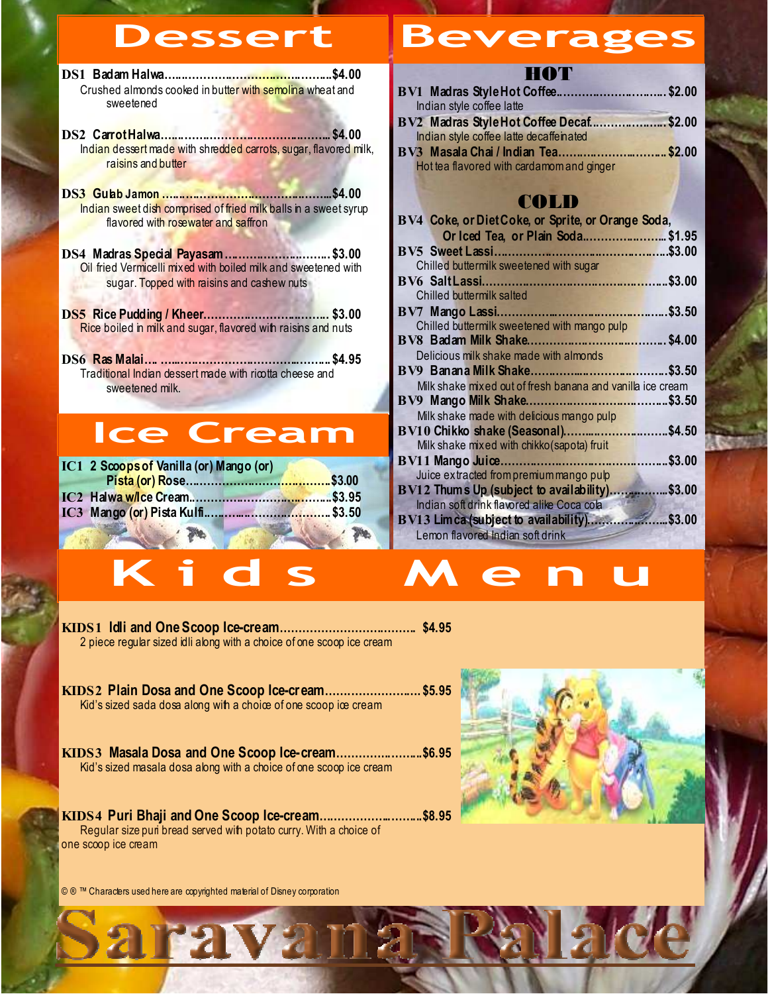DS1 Badam Halwa…...…………………………..……... \$4.00 Crushed almonds cooked in butter with semolina wheat and sweetened

- DS2 Carrot Halwa…....…………………………..……... \$4.00 Indian dessert made with shredded carrots, sugar, flavored milk, raisins and butter
- DS3 Gulab Jamon …....…………………………..……... \$4.00 Indian sweet dish comprised of fried milk balls in a sweet syrup flavored with rosewater and saffron
- DS4 Madras Special Payasam .............................. \$3.00 Oil fried Vermicelli mixed with boiled milk and sweetened with sugar. Topped with raisins and cashew nuts
- DS5 Rice Pudding / Kheer……………………..……... \$3.00 Rice boiled in milk and sugar, flavored with raisins and nuts
- DS6 Ras Malai…. …....…………………………..……... \$4.95 Traditional Indian dessert made with ricotta cheese and sweetened milk.

# Ice Cream

| IC1 2 Scoops of Vanilla (or) Mango (or) |  |
|-----------------------------------------|--|
|                                         |  |
|                                         |  |
|                                         |  |
|                                         |  |

# Dessert Beverages

### HOT

| BV1 Madras Style Hot Coffee\$2.00       |
|-----------------------------------------|
|                                         |
| BV2 Madras Style Hot Coffee Decaf\$2.00 |
|                                         |
| BV3 Masala Chai / Indian Tea\$2.00      |
|                                         |
|                                         |
|                                         |

## COLD

| flavored with rosewater and saffron                            | BV4 Coke, or Diet Coke, or Sprite, or Orange Soda,                                |
|----------------------------------------------------------------|-----------------------------------------------------------------------------------|
|                                                                | Or Iced Tea, or Plain Soda \$1.95                                                 |
| DS4 Madras Special Payasam\$3.00                               |                                                                                   |
| Oil fried Vermicelli mixed with boiled milk and sweetened with | Chilled buttermilk sweetened with sugar                                           |
| sugar. Topped with raisins and cashew nuts                     |                                                                                   |
|                                                                | Chilled buttermilk salted                                                         |
|                                                                |                                                                                   |
| Rice boiled in milk and sugar, flavored with raisins and nuts  | Chilled buttermilk sweetened with mango pulp                                      |
|                                                                |                                                                                   |
|                                                                | Delicious milk shake made with almonds                                            |
| Traditional Indian dessert made with ricotta cheese and        |                                                                                   |
| sweetened milk.                                                | Milk shake mixed out of fresh banana and vanilla ice cream                        |
|                                                                |                                                                                   |
|                                                                | Milk shake made with delicious mango pulp                                         |
| <b>Ice Cream</b>                                               | BV10 Chikko shake (Seasonal)\$4.50<br>Milk shake mixed with chikko (sapota) fruit |
|                                                                |                                                                                   |
| IC1 2 Scoops of Vanilla (or) Mango (or)                        | Juice extracted from premium mango pulp                                           |
|                                                                | BV12 Thums Up (subject to availability)\$3.00                                     |
|                                                                | Indian soft drink flavored alike Coca cola                                        |
|                                                                |                                                                                   |
|                                                                | Lemon flavored Indian soft drink                                                  |
|                                                                |                                                                                   |
|                                                                |                                                                                   |
| Kid<br>S                                                       | e n                                                                               |
|                                                                |                                                                                   |



2 piece regular sized idli along with a choice of one scoop ice cream

KIDS2 Plain Dosa and One Scoop Ice-cream…….………………. \$5.95 Kid's sized sada dosa along with a choice of one scoop ice cream

KIDS3 Masala Dosa and One Scoop Ice-cream…………...……... \$6.95 Kid's sized masala dosa along with a choice of one scoop ice cream

KIDS4 Puri Bhaji and One Scoop Ice-cream...……………..……... \$8.95 Regular size puri bread served with potato curry. With a choice of one scoop ice cream

aravam